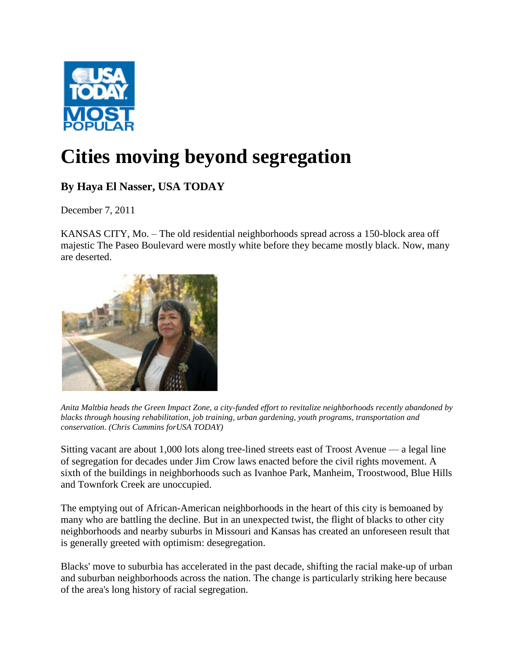

# **Cities moving beyond segregation**

# **By Haya El Nasser, USA TODAY**

December 7, 2011

KANSAS CITY, Mo. – The old residential neighborhoods spread across a 150-block area off majestic The Paseo Boulevard were mostly white before they became mostly black. Now, many are deserted.



*Anita Maltbia heads the Green Impact Zone, a city-funded effort to revitalize neighborhoods recently abandoned by blacks through housing rehabilitation, job training, urban gardening, youth programs, transportation and conservation. (Chris Cummins forUSA TODAY)*

Sitting vacant are about 1,000 lots along tree-lined streets east of Troost Avenue — a legal line of segregation for decades under Jim Crow laws enacted before the civil rights movement. A sixth of the buildings in neighborhoods such as Ivanhoe Park, Manheim, Troostwood, Blue Hills and Townfork Creek are unoccupied.

The emptying out of African-American neighborhoods in the heart of this city is bemoaned by many who are battling the decline. But in an unexpected twist, the flight of blacks to other city neighborhoods and nearby suburbs in Missouri and Kansas has created an unforeseen result that is generally greeted with optimism: desegregation.

Blacks' move to suburbia has accelerated in the past decade, shifting the racial make-up of urban and suburban neighborhoods across the nation. The change is particularly striking here because of the area's long history of racial segregation.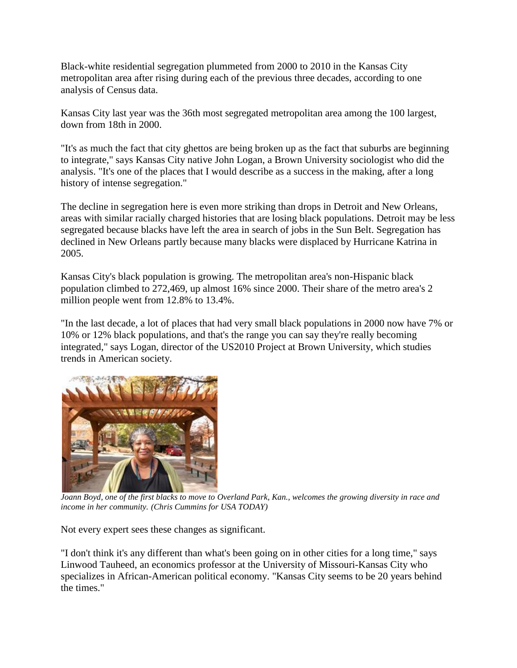Black-white residential segregation plummeted from 2000 to 2010 in the [Kansas City](http://content.usatoday.com/topics/topic/Places,+Geography/Towns,+Cities,+Counties/Kansas+City) metropolitan area after rising during each of the previous three decades, according to one analysis of Census data.

Kansas City last year was the 36th most segregated metropolitan area among the 100 largest, down from 18th in 2000.

"It's as much the fact that city ghettos are being broken up as the fact that suburbs are beginning to integrate," says Kansas City native [John Logan,](http://content.usatoday.com/topics/topic/John+Logan) a [Brown University](http://content.usatoday.com/topics/topic/Organizations/Schools/Brown+University) sociologist who did the analysis. "It's one of the places that I would describe as a success in the making, after a long history of intense segregation."

The decline in segregation here is even more striking than drops in Detroit and [New Orleans,](http://content.usatoday.com/topics/topic/Places,+Geography/Towns,+Cities,+Counties/New+Orleans) areas with similar racially charged histories that are losing black populations. Detroit may be less segregated because blacks have left the area in search of jobs in the [Sun Belt.](http://content.usatoday.com/topics/topic/Organizations/Sports+Leagues/NCAA/Sun+Belt) Segregation has declined in New Orleans partly because many blacks were displaced by Hurricane Katrina in 2005.

Kansas City's black population is growing. The metropolitan area's non-Hispanic black population climbed to 272,469, up almost 16% since 2000. Their share of the metro area's 2 million people went from 12.8% to 13.4%.

"In the last decade, a lot of places that had very small black populations in 2000 now have 7% or 10% or 12% black populations, and that's the range you can say they're really becoming integrated," says Logan, director of the US2010 Project at Brown University, which studies trends in American society.



*Joann Boyd, one of the first blacks to move to [Overland Park,](http://content.usatoday.com/topics/topic/Overland+Park) Kan., welcomes the growing diversity in race and income in her community. (Chris Cummins for USA TODAY)*

Not every expert sees these changes as significant.

"I don't think it's any different than what's been going on in other cities for a long time," says Linwood Tauheed, an economics professor at the [University of Missouri-Kansas City](http://content.usatoday.com/topics/topic/University+of+Missouri-Kansas+City) who specializes in African-American political economy. "Kansas City seems to be 20 years behind the times."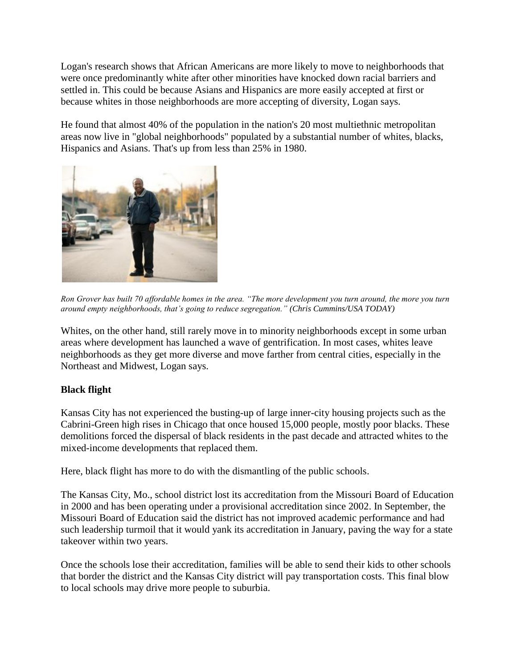Logan's research shows that African Americans are more likely to move to neighborhoods that were once predominantly white after other minorities have knocked down racial barriers and settled in. This could be because Asians and Hispanics are more easily accepted at first or because whites in those neighborhoods are more accepting of diversity, Logan says.

He found that almost 40% of the population in the nation's 20 most multiethnic metropolitan areas now live in "global neighborhoods" populated by a substantial number of whites, blacks, Hispanics and Asians. That's up from less than 25% in 1980.



*Ron Grover has built 70 affordable homes in the area. "The more development you turn around, the more you turn around empty neighborhoods, that's going to reduce segregation." (Chris Cummins/USA TODAY)*

Whites, on the other hand, still rarely move in to minority neighborhoods except in some urban areas where development has launched a wave of gentrification. In most cases, whites leave neighborhoods as they get more diverse and move farther from central cities, especially in the Northeast and Midwest, Logan says.

## **Black flight**

Kansas City has not experienced the busting-up of large inner-city housing projects such as the Cabrini-Green high rises in Chicago that once housed 15,000 people, mostly poor blacks. These demolitions forced the dispersal of black residents in the past decade and attracted whites to the mixed-income developments that replaced them.

Here, black flight has more to do with the dismantling of the public schools.

The Kansas City, Mo., school district lost its accreditation from the Missouri Board of Education in 2000 and has been operating under a provisional accreditation since 2002. In September, the Missouri Board of Education said the district has not improved academic performance and had such leadership turmoil that it would yank its accreditation in January, paving the way for a state takeover within two years.

Once the schools lose their accreditation, families will be able to send their kids to other schools that border the district and the Kansas City district will pay transportation costs. This final blow to local schools may drive more people to suburbia.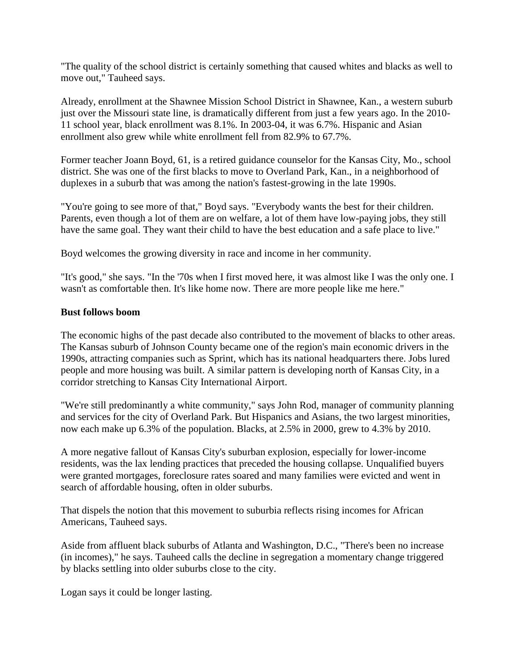"The quality of the school district is certainly something that caused whites and blacks as well to move out," Tauheed says.

Already, enrollment at the Shawnee Mission School District in Shawnee, Kan., a western suburb just over the Missouri state line, is dramatically different from just a few years ago. In the 2010- 11 school year, black enrollment was 8.1%. In 2003-04, it was 6.7%. Hispanic and Asian enrollment also grew while white enrollment fell from 82.9% to 67.7%.

Former teacher Joann Boyd, 61, is a retired guidance counselor for the Kansas City, Mo., school district. She was one of the first blacks to move to Overland Park, Kan., in a neighborhood of duplexes in a suburb that was among the nation's fastest-growing in the late 1990s.

"You're going to see more of that," Boyd says. "Everybody wants the best for their children. Parents, even though a lot of them are on welfare, a lot of them have low-paying jobs, they still have the same goal. They want their child to have the best education and a safe place to live."

Boyd welcomes the growing diversity in race and income in her community.

"It's good," she says. "In the '70s when I first moved here, it was almost like I was the only one. I wasn't as comfortable then. It's like home now. There are more people like me here."

#### **Bust follows boom**

The economic highs of the past decade also contributed to the movement of blacks to other areas. The Kansas suburb of [Johnson County](http://content.usatoday.com/topics/topic/Johnson+County) became one of the region's main economic drivers in the 1990s, attracting companies such as Sprint, which has its national headquarters there. Jobs lured people and more housing was built. A similar pattern is developing north of Kansas City, in a corridor stretching to [Kansas City International Airport.](http://content.usatoday.com/topics/topic/Places,+Geography/Towns,+Cities,+Counties/Airports/Kansas+City+International+Airport)

"We're still predominantly a white community," says John Rod, manager of community planning and services for the city of Overland Park. But Hispanics and Asians, the two largest minorities, now each make up 6.3% of the population. Blacks, at 2.5% in 2000, grew to 4.3% by 2010.

A more negative fallout of Kansas City's suburban explosion, especially for lower-income residents, was the lax lending practices that preceded the housing collapse. Unqualified buyers were granted mortgages, foreclosure rates soared and many families were evicted and went in search of affordable housing, often in older suburbs.

That dispels the notion that this movement to suburbia reflects rising incomes for African Americans, Tauheed says.

Aside from affluent black suburbs of Atlanta and Washington, D.C., "There's been no increase (in incomes)," he says. Tauheed calls the decline in segregation a momentary change triggered by blacks settling into older suburbs close to the city.

Logan says it could be longer lasting.